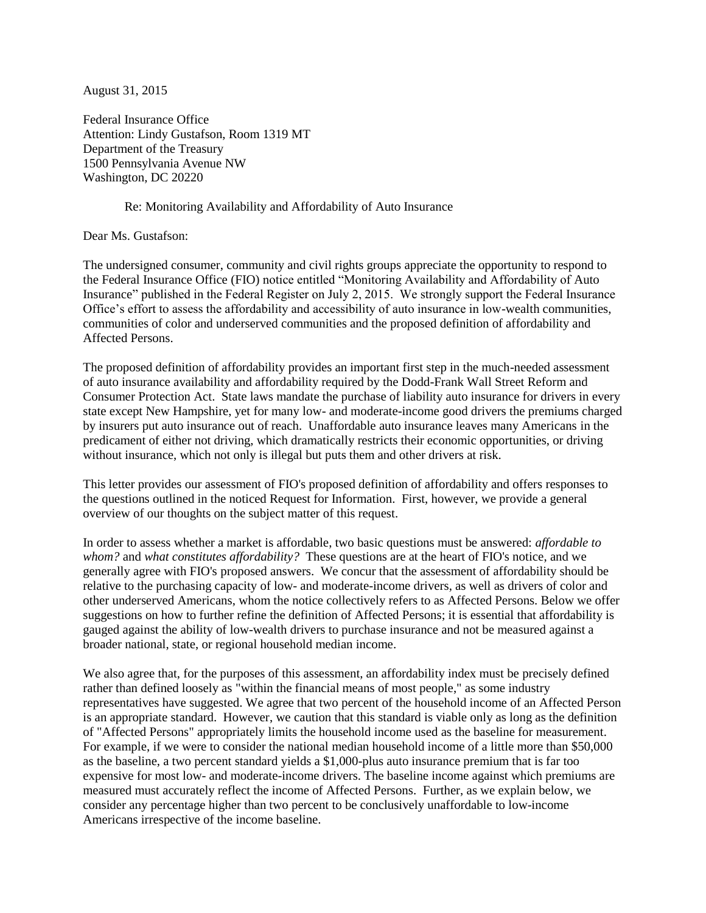August 31, 2015

Federal Insurance Office Attention: Lindy Gustafson, Room 1319 MT Department of the Treasury 1500 Pennsylvania Avenue NW Washington, DC 20220

#### Re: Monitoring Availability and Affordability of Auto Insurance

Dear Ms. Gustafson:

The undersigned consumer, community and civil rights groups appreciate the opportunity to respond to the Federal Insurance Office (FIO) notice entitled "Monitoring Availability and Affordability of Auto Insurance" published in the Federal Register on July 2, 2015. We strongly support the Federal Insurance Office's effort to assess the affordability and accessibility of auto insurance in low-wealth communities, communities of color and underserved communities and the proposed definition of affordability and Affected Persons.

The proposed definition of affordability provides an important first step in the much-needed assessment of auto insurance availability and affordability required by the Dodd-Frank Wall Street Reform and Consumer Protection Act. State laws mandate the purchase of liability auto insurance for drivers in every state except New Hampshire, yet for many low- and moderate-income good drivers the premiums charged by insurers put auto insurance out of reach. Unaffordable auto insurance leaves many Americans in the predicament of either not driving, which dramatically restricts their economic opportunities, or driving without insurance, which not only is illegal but puts them and other drivers at risk.

This letter provides our assessment of FIO's proposed definition of affordability and offers responses to the questions outlined in the noticed Request for Information. First, however, we provide a general overview of our thoughts on the subject matter of this request.

In order to assess whether a market is affordable, two basic questions must be answered: *affordable to whom?* and *what constitutes affordability?* These questions are at the heart of FIO's notice, and we generally agree with FIO's proposed answers. We concur that the assessment of affordability should be relative to the purchasing capacity of low- and moderate-income drivers, as well as drivers of color and other underserved Americans, whom the notice collectively refers to as Affected Persons. Below we offer suggestions on how to further refine the definition of Affected Persons; it is essential that affordability is gauged against the ability of low-wealth drivers to purchase insurance and not be measured against a broader national, state, or regional household median income.

We also agree that, for the purposes of this assessment, an affordability index must be precisely defined rather than defined loosely as "within the financial means of most people," as some industry representatives have suggested. We agree that two percent of the household income of an Affected Person is an appropriate standard. However, we caution that this standard is viable only as long as the definition of "Affected Persons" appropriately limits the household income used as the baseline for measurement. For example, if we were to consider the national median household income of a little more than \$50,000 as the baseline, a two percent standard yields a \$1,000-plus auto insurance premium that is far too expensive for most low- and moderate-income drivers. The baseline income against which premiums are measured must accurately reflect the income of Affected Persons. Further, as we explain below, we consider any percentage higher than two percent to be conclusively unaffordable to low-income Americans irrespective of the income baseline.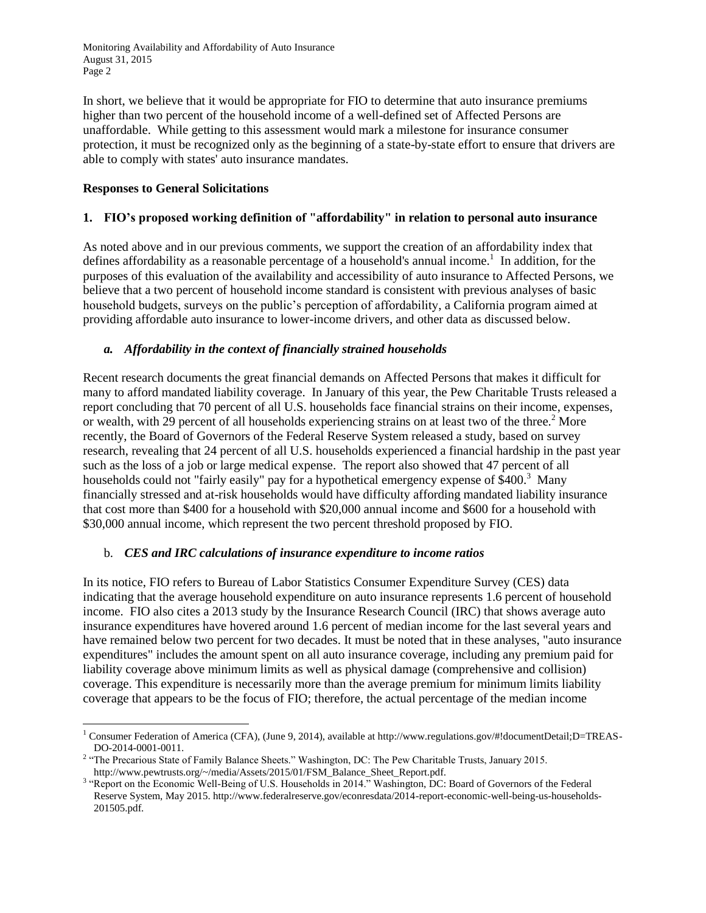In short, we believe that it would be appropriate for FIO to determine that auto insurance premiums higher than two percent of the household income of a well-defined set of Affected Persons are unaffordable. While getting to this assessment would mark a milestone for insurance consumer protection, it must be recognized only as the beginning of a state-by-state effort to ensure that drivers are able to comply with states' auto insurance mandates.

#### **Responses to General Solicitations**

 $\overline{\phantom{a}}$ 

## **1. FIO's proposed working definition of "affordability" in relation to personal auto insurance**

As noted above and in our previous comments, we support the creation of an affordability index that defines affordability as a reasonable percentage of a household's annual income.<sup>1</sup> In addition, for the purposes of this evaluation of the availability and accessibility of auto insurance to Affected Persons, we believe that a two percent of household income standard is consistent with previous analyses of basic household budgets, surveys on the public's perception of affordability, a California program aimed at providing affordable auto insurance to lower-income drivers, and other data as discussed below.

### *a. Affordability in the context of financially strained households*

Recent research documents the great financial demands on Affected Persons that makes it difficult for many to afford mandated liability coverage. In January of this year, the Pew Charitable Trusts released a report concluding that 70 percent of all U.S. households face financial strains on their income, expenses, or wealth, with 29 percent of all households experiencing strains on at least two of the three.<sup>2</sup> More recently, the Board of Governors of the Federal Reserve System released a study, based on survey research, revealing that 24 percent of all U.S. households experienced a financial hardship in the past year such as the loss of a job or large medical expense. The report also showed that 47 percent of all households could not "fairly easily" pay for a hypothetical emergency expense of \$400.<sup>3</sup> Many financially stressed and at-risk households would have difficulty affording mandated liability insurance that cost more than \$400 for a household with \$20,000 annual income and \$600 for a household with \$30,000 annual income, which represent the two percent threshold proposed by FIO.

#### b. *CES and IRC calculations of insurance expenditure to income ratios*

In its notice, FIO refers to Bureau of Labor Statistics Consumer Expenditure Survey (CES) data indicating that the average household expenditure on auto insurance represents 1.6 percent of household income. FIO also cites a 2013 study by the Insurance Research Council (IRC) that shows average auto insurance expenditures have hovered around 1.6 percent of median income for the last several years and have remained below two percent for two decades. It must be noted that in these analyses, "auto insurance expenditures" includes the amount spent on all auto insurance coverage, including any premium paid for liability coverage above minimum limits as well as physical damage (comprehensive and collision) coverage. This expenditure is necessarily more than the average premium for minimum limits liability coverage that appears to be the focus of FIO; therefore, the actual percentage of the median income

<sup>&</sup>lt;sup>1</sup> Consumer Federation of America (CFA), (June 9, 2014), available at http://www.regulations.gov/#!documentDetail;D=TREAS-DO-2014-0001-0011.

<sup>&</sup>lt;sup>2</sup> "The Precarious State of Family Balance Sheets." Washington, DC: The Pew Charitable Trusts, January 2015. http://www.pewtrusts.org/~/media/Assets/2015/01/FSM\_Balance\_Sheet\_Report.pdf.

<sup>&</sup>lt;sup>3</sup> "Report on the Economic Well-Being of U.S. Households in 2014." Washington, DC: Board of Governors of the Federal Reserve System, May 2015. http://www.federalreserve.gov/econresdata/2014-report-economic-well-being-us-households-201505.pdf.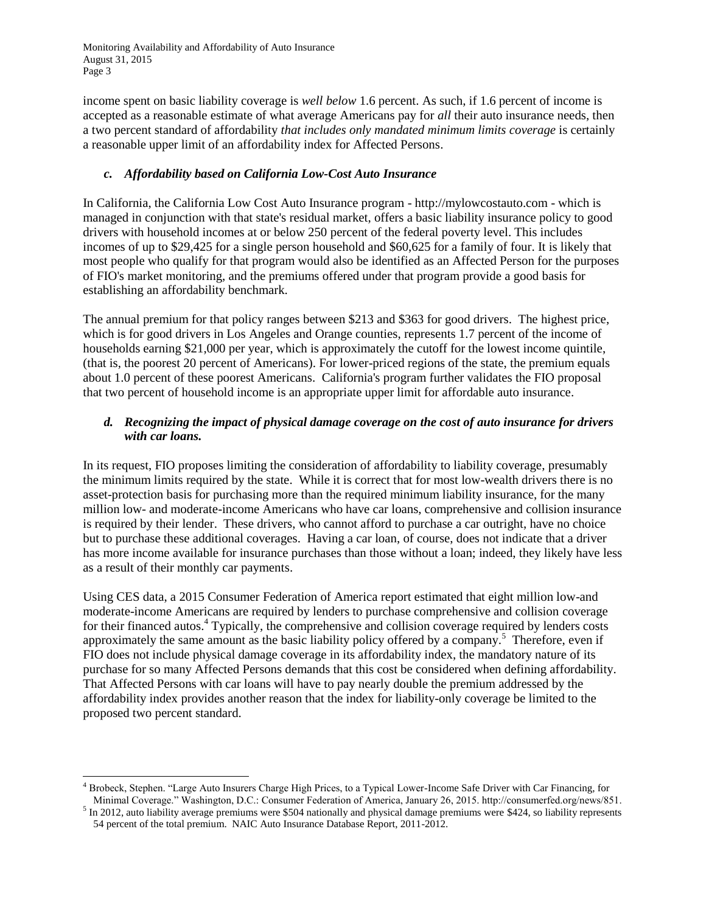l

income spent on basic liability coverage is *well below* 1.6 percent. As such, if 1.6 percent of income is accepted as a reasonable estimate of what average Americans pay for *all* their auto insurance needs, then a two percent standard of affordability *that includes only mandated minimum limits coverage* is certainly a reasonable upper limit of an affordability index for Affected Persons.

## *c. Affordability based on California Low-Cost Auto Insurance*

In California, the California Low Cost Auto Insurance program - http://mylowcostauto.com - which is managed in conjunction with that state's residual market, offers a basic liability insurance policy to good drivers with household incomes at or below 250 percent of the federal poverty level. This includes incomes of up to \$29,425 for a single person household and \$60,625 for a family of four. It is likely that most people who qualify for that program would also be identified as an Affected Person for the purposes of FIO's market monitoring, and the premiums offered under that program provide a good basis for establishing an affordability benchmark.

The annual premium for that policy ranges between \$213 and \$363 for good drivers. The highest price, which is for good drivers in Los Angeles and Orange counties, represents 1.7 percent of the income of households earning \$21,000 per year, which is approximately the cutoff for the lowest income quintile, (that is, the poorest 20 percent of Americans). For lower-priced regions of the state, the premium equals about 1.0 percent of these poorest Americans. California's program further validates the FIO proposal that two percent of household income is an appropriate upper limit for affordable auto insurance.

# *d. Recognizing the impact of physical damage coverage on the cost of auto insurance for drivers with car loans.*

In its request, FIO proposes limiting the consideration of affordability to liability coverage, presumably the minimum limits required by the state. While it is correct that for most low-wealth drivers there is no asset-protection basis for purchasing more than the required minimum liability insurance, for the many million low- and moderate-income Americans who have car loans, comprehensive and collision insurance is required by their lender. These drivers, who cannot afford to purchase a car outright, have no choice but to purchase these additional coverages. Having a car loan, of course, does not indicate that a driver has more income available for insurance purchases than those without a loan; indeed, they likely have less as a result of their monthly car payments.

Using CES data, a 2015 Consumer Federation of America report estimated that eight million low-and moderate-income Americans are required by lenders to purchase comprehensive and collision coverage for their financed autos.<sup>4</sup> Typically, the comprehensive and collision coverage required by lenders costs approximately the same amount as the basic liability policy offered by a company.<sup>5</sup> Therefore, even if FIO does not include physical damage coverage in its affordability index, the mandatory nature of its purchase for so many Affected Persons demands that this cost be considered when defining affordability. That Affected Persons with car loans will have to pay nearly double the premium addressed by the affordability index provides another reason that the index for liability-only coverage be limited to the proposed two percent standard.

<sup>4</sup> Brobeck, Stephen. "Large Auto Insurers Charge High Prices, to a Typical Lower-Income Safe Driver with Car Financing, for Minimal Coverage." Washington, D.C.: Consumer Federation of America, January 26, 2015. http://consumerfed.org/news/851.

 $<sup>5</sup>$  In 2012, auto liability average premiums were \$504 nationally and physical damage premiums were \$424, so liability represents</sup> 54 percent of the total premium. NAIC Auto Insurance Database Report, 2011-2012.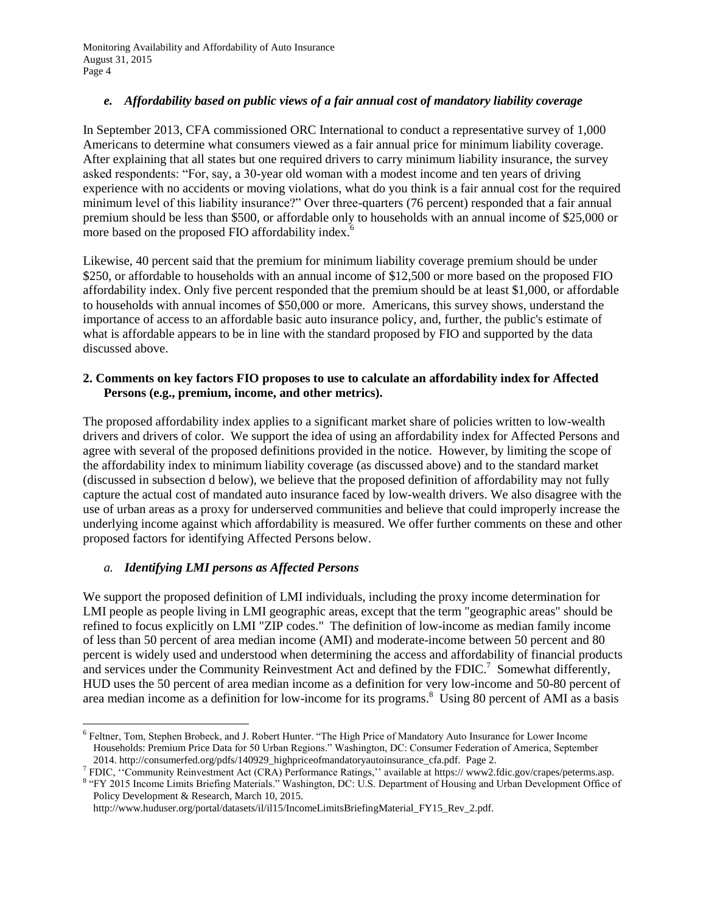## *e. Affordability based on public views of a fair annual cost of mandatory liability coverage*

In September 2013, CFA commissioned ORC International to conduct a representative survey of 1,000 Americans to determine what consumers viewed as a fair annual price for minimum liability coverage. After explaining that all states but one required drivers to carry minimum liability insurance, the survey asked respondents: "For, say, a 30-year old woman with a modest income and ten years of driving experience with no accidents or moving violations, what do you think is a fair annual cost for the required minimum level of this liability insurance?" Over three-quarters (76 percent) responded that a fair annual premium should be less than \$500, or affordable only to households with an annual income of \$25,000 or more based on the proposed FIO affordability index.<sup>6</sup>

Likewise, 40 percent said that the premium for minimum liability coverage premium should be under \$250, or affordable to households with an annual income of \$12,500 or more based on the proposed FIO affordability index. Only five percent responded that the premium should be at least \$1,000, or affordable to households with annual incomes of \$50,000 or more. Americans, this survey shows, understand the importance of access to an affordable basic auto insurance policy, and, further, the public's estimate of what is affordable appears to be in line with the standard proposed by FIO and supported by the data discussed above.

#### **2. Comments on key factors FIO proposes to use to calculate an affordability index for Affected Persons (e.g., premium, income, and other metrics).**

The proposed affordability index applies to a significant market share of policies written to low-wealth drivers and drivers of color. We support the idea of using an affordability index for Affected Persons and agree with several of the proposed definitions provided in the notice. However, by limiting the scope of the affordability index to minimum liability coverage (as discussed above) and to the standard market (discussed in subsection d below), we believe that the proposed definition of affordability may not fully capture the actual cost of mandated auto insurance faced by low-wealth drivers. We also disagree with the use of urban areas as a proxy for underserved communities and believe that could improperly increase the underlying income against which affordability is measured. We offer further comments on these and other proposed factors for identifying Affected Persons below.

# *a. Identifying LMI persons as Affected Persons*

 $\overline{\phantom{a}}$ 

We support the proposed definition of LMI individuals, including the proxy income determination for LMI people as people living in LMI geographic areas, except that the term "geographic areas" should be refined to focus explicitly on LMI "ZIP codes." The definition of low-income as median family income of less than 50 percent of area median income (AMI) and moderate-income between 50 percent and 80 percent is widely used and understood when determining the access and affordability of financial products and services under the Community Reinvestment Act and defined by the FDIC.<sup>7</sup> Somewhat differently, HUD uses the 50 percent of area median income as a definition for very low-income and 50-80 percent of area median income as a definition for low-income for its programs.<sup>8</sup> Using 80 percent of AMI as a basis

<sup>6</sup> Feltner, Tom, Stephen Brobeck, and J. Robert Hunter. "The High Price of Mandatory Auto Insurance for Lower Income Households: Premium Price Data for 50 Urban Regions." Washington, DC: Consumer Federation of America, September 2014. http://consumerfed.org/pdfs/140929\_highpriceofmandatoryautoinsurance\_cfa.pdf. Page 2.

<sup>7</sup> FDIC, ''Community Reinvestment Act (CRA) Performance Ratings,'' available at https:// www2.fdic.gov/crapes/peterms.asp.

<sup>&</sup>lt;sup>8</sup> "FY 2015 Income Limits Briefing Materials." Washington, DC: U.S. Department of Housing and Urban Development Office of Policy Development & Research, March 10, 2015.

http://www.huduser.org/portal/datasets/il/il15/IncomeLimitsBriefingMaterial\_FY15\_Rev\_2.pdf.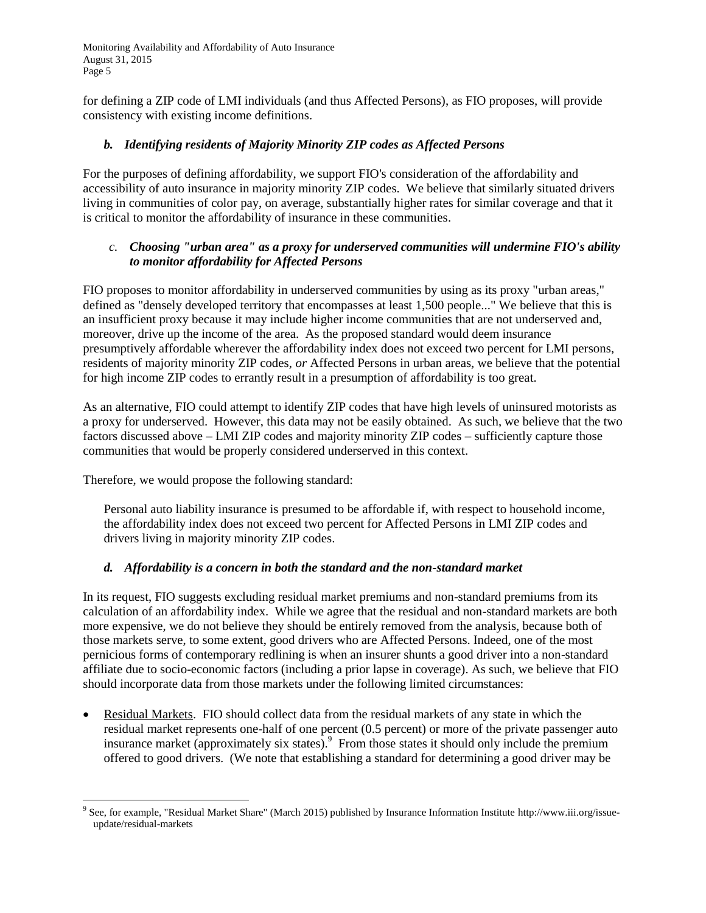for defining a ZIP code of LMI individuals (and thus Affected Persons), as FIO proposes, will provide consistency with existing income definitions.

### *b. Identifying residents of Majority Minority ZIP codes as Affected Persons*

For the purposes of defining affordability, we support FIO's consideration of the affordability and accessibility of auto insurance in majority minority ZIP codes. We believe that similarly situated drivers living in communities of color pay, on average, substantially higher rates for similar coverage and that it is critical to monitor the affordability of insurance in these communities.

### *c. Choosing "urban area" as a proxy for underserved communities will undermine FIO's ability to monitor affordability for Affected Persons*

FIO proposes to monitor affordability in underserved communities by using as its proxy "urban areas," defined as "densely developed territory that encompasses at least 1,500 people..." We believe that this is an insufficient proxy because it may include higher income communities that are not underserved and, moreover, drive up the income of the area. As the proposed standard would deem insurance presumptively affordable wherever the affordability index does not exceed two percent for LMI persons, residents of majority minority ZIP codes, *or* Affected Persons in urban areas, we believe that the potential for high income ZIP codes to errantly result in a presumption of affordability is too great.

As an alternative, FIO could attempt to identify ZIP codes that have high levels of uninsured motorists as a proxy for underserved. However, this data may not be easily obtained. As such, we believe that the two factors discussed above – LMI ZIP codes and majority minority ZIP codes – sufficiently capture those communities that would be properly considered underserved in this context.

Therefore, we would propose the following standard:

Personal auto liability insurance is presumed to be affordable if, with respect to household income, the affordability index does not exceed two percent for Affected Persons in LMI ZIP codes and drivers living in majority minority ZIP codes.

#### *d. Affordability is a concern in both the standard and the non-standard market*

In its request, FIO suggests excluding residual market premiums and non-standard premiums from its calculation of an affordability index. While we agree that the residual and non-standard markets are both more expensive, we do not believe they should be entirely removed from the analysis, because both of those markets serve, to some extent, good drivers who are Affected Persons. Indeed, one of the most pernicious forms of contemporary redlining is when an insurer shunts a good driver into a non-standard affiliate due to socio-economic factors (including a prior lapse in coverage). As such, we believe that FIO should incorporate data from those markets under the following limited circumstances:

 Residual Markets. FIO should collect data from the residual markets of any state in which the residual market represents one-half of one percent (0.5 percent) or more of the private passenger auto insurance market (approximately six states). From those states it should only include the premium offered to good drivers. (We note that establishing a standard for determining a good driver may be

l <sup>9</sup> See, for example, "Residual Market Share" (March 2015) published by Insurance Information Institute http://www.iii.org/issueupdate/residual-markets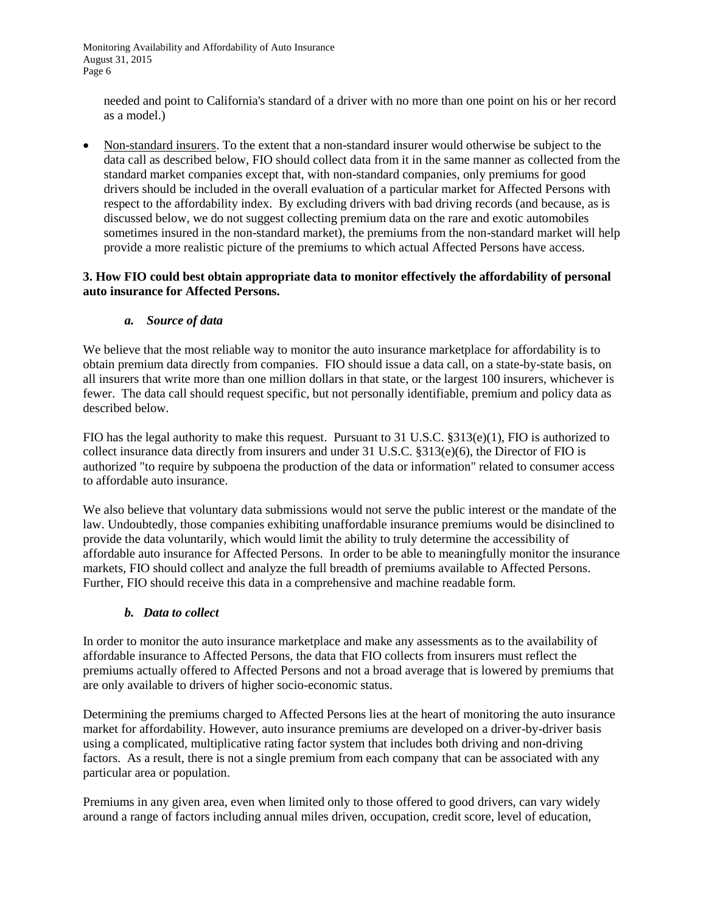needed and point to California's standard of a driver with no more than one point on his or her record as a model.)

 Non-standard insurers. To the extent that a non-standard insurer would otherwise be subject to the data call as described below, FIO should collect data from it in the same manner as collected from the standard market companies except that, with non-standard companies, only premiums for good drivers should be included in the overall evaluation of a particular market for Affected Persons with respect to the affordability index. By excluding drivers with bad driving records (and because, as is discussed below, we do not suggest collecting premium data on the rare and exotic automobiles sometimes insured in the non-standard market), the premiums from the non-standard market will help provide a more realistic picture of the premiums to which actual Affected Persons have access.

### **3. How FIO could best obtain appropriate data to monitor effectively the affordability of personal auto insurance for Affected Persons.**

### *a. Source of data*

We believe that the most reliable way to monitor the auto insurance marketplace for affordability is to obtain premium data directly from companies. FIO should issue a data call, on a state-by-state basis, on all insurers that write more than one million dollars in that state, or the largest 100 insurers, whichever is fewer. The data call should request specific, but not personally identifiable, premium and policy data as described below.

FIO has the legal authority to make this request. Pursuant to 31 U.S.C. §313(e)(1), FIO is authorized to collect insurance data directly from insurers and under 31 U.S.C. §313(e)(6), the Director of FIO is authorized "to require by subpoena the production of the data or information" related to consumer access to affordable auto insurance.

We also believe that voluntary data submissions would not serve the public interest or the mandate of the law. Undoubtedly, those companies exhibiting unaffordable insurance premiums would be disinclined to provide the data voluntarily, which would limit the ability to truly determine the accessibility of affordable auto insurance for Affected Persons. In order to be able to meaningfully monitor the insurance markets, FIO should collect and analyze the full breadth of premiums available to Affected Persons. Further, FIO should receive this data in a comprehensive and machine readable form.

#### *b. Data to collect*

In order to monitor the auto insurance marketplace and make any assessments as to the availability of affordable insurance to Affected Persons, the data that FIO collects from insurers must reflect the premiums actually offered to Affected Persons and not a broad average that is lowered by premiums that are only available to drivers of higher socio-economic status.

Determining the premiums charged to Affected Persons lies at the heart of monitoring the auto insurance market for affordability. However, auto insurance premiums are developed on a driver-by-driver basis using a complicated, multiplicative rating factor system that includes both driving and non-driving factors. As a result, there is not a single premium from each company that can be associated with any particular area or population.

Premiums in any given area, even when limited only to those offered to good drivers, can vary widely around a range of factors including annual miles driven, occupation, credit score, level of education,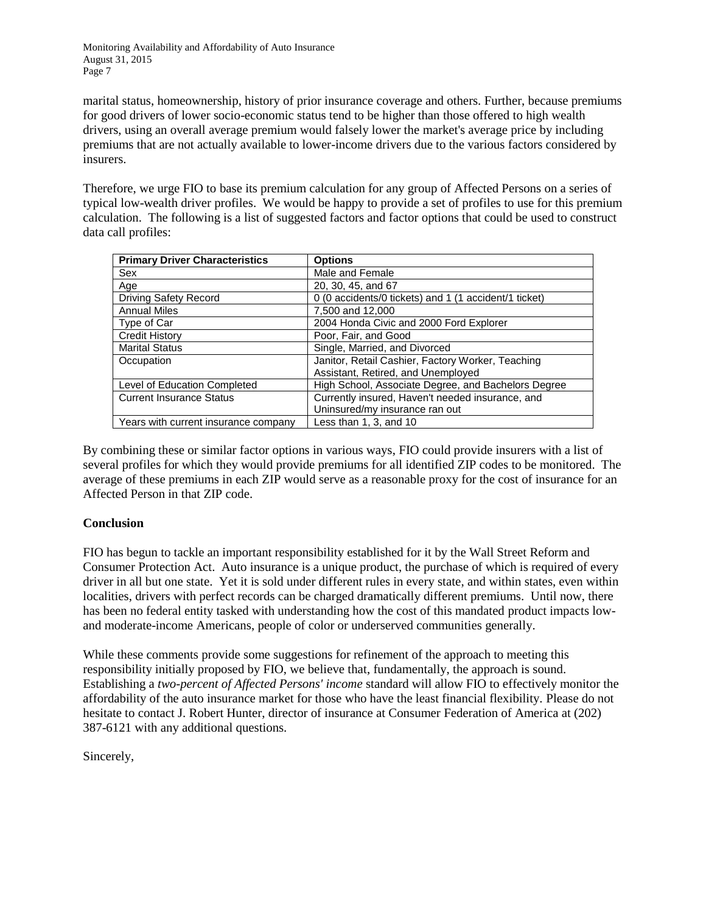marital status, homeownership, history of prior insurance coverage and others. Further, because premiums for good drivers of lower socio-economic status tend to be higher than those offered to high wealth drivers, using an overall average premium would falsely lower the market's average price by including premiums that are not actually available to lower-income drivers due to the various factors considered by insurers.

Therefore, we urge FIO to base its premium calculation for any group of Affected Persons on a series of typical low-wealth driver profiles. We would be happy to provide a set of profiles to use for this premium calculation. The following is a list of suggested factors and factor options that could be used to construct data call profiles:

| <b>Primary Driver Characteristics</b> | <b>Options</b>                                        |
|---------------------------------------|-------------------------------------------------------|
| Sex                                   | Male and Female                                       |
| Age                                   | 20, 30, 45, and 67                                    |
| <b>Driving Safety Record</b>          | 0 (0 accidents/0 tickets) and 1 (1 accident/1 ticket) |
| <b>Annual Miles</b>                   | 7,500 and 12,000                                      |
| Type of Car                           | 2004 Honda Civic and 2000 Ford Explorer               |
| <b>Credit History</b>                 | Poor, Fair, and Good                                  |
| <b>Marital Status</b>                 | Single, Married, and Divorced                         |
| Occupation                            | Janitor, Retail Cashier, Factory Worker, Teaching     |
|                                       | Assistant, Retired, and Unemployed                    |
| Level of Education Completed          | High School, Associate Degree, and Bachelors Degree   |
| <b>Current Insurance Status</b>       | Currently insured, Haven't needed insurance, and      |
|                                       | Uninsured/my insurance ran out                        |
| Years with current insurance company  | Less than 1, 3, and 10                                |

By combining these or similar factor options in various ways, FIO could provide insurers with a list of several profiles for which they would provide premiums for all identified ZIP codes to be monitored. The average of these premiums in each ZIP would serve as a reasonable proxy for the cost of insurance for an Affected Person in that ZIP code.

# **Conclusion**

FIO has begun to tackle an important responsibility established for it by the Wall Street Reform and Consumer Protection Act. Auto insurance is a unique product, the purchase of which is required of every driver in all but one state. Yet it is sold under different rules in every state, and within states, even within localities, drivers with perfect records can be charged dramatically different premiums. Until now, there has been no federal entity tasked with understanding how the cost of this mandated product impacts lowand moderate-income Americans, people of color or underserved communities generally.

While these comments provide some suggestions for refinement of the approach to meeting this responsibility initially proposed by FIO, we believe that, fundamentally, the approach is sound. Establishing a *two-percent of Affected Persons' income* standard will allow FIO to effectively monitor the affordability of the auto insurance market for those who have the least financial flexibility. Please do not hesitate to contact J. Robert Hunter, director of insurance at Consumer Federation of America at (202) 387-6121 with any additional questions.

Sincerely,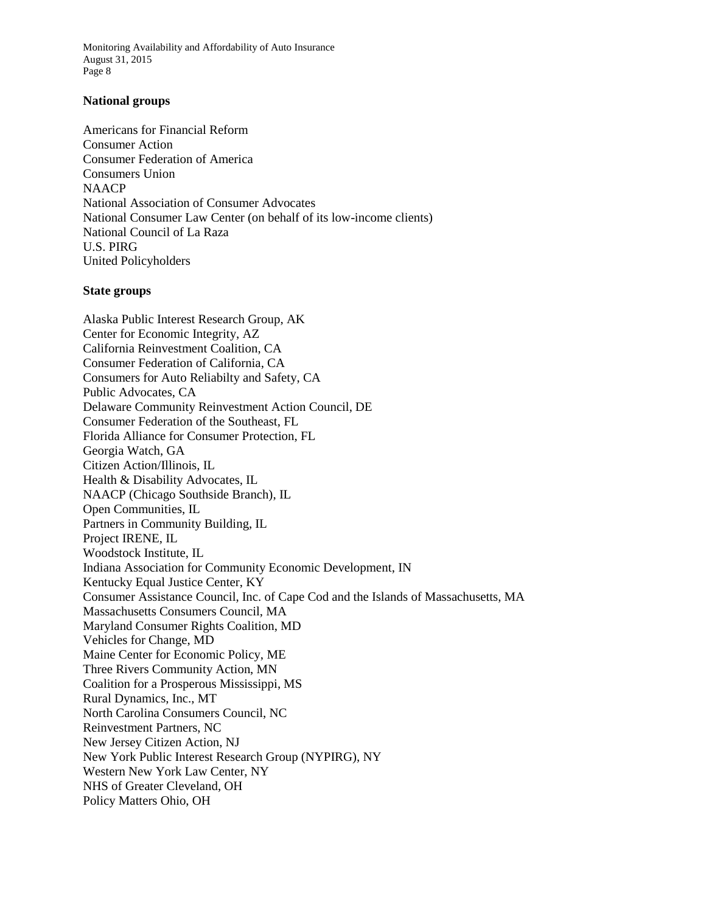#### **National groups**

Americans for Financial Reform Consumer Action Consumer Federation of America Consumers Union **NAACP** National Association of Consumer Advocates National Consumer Law Center (on behalf of its low-income clients) National Council of La Raza U.S. PIRG United Policyholders

#### **State groups**

Alaska Public Interest Research Group, AK Center for Economic Integrity, AZ California Reinvestment Coalition, CA Consumer Federation of California, CA Consumers for Auto Reliabilty and Safety, CA Public Advocates, CA Delaware Community Reinvestment Action Council, DE Consumer Federation of the Southeast, FL Florida Alliance for Consumer Protection, FL Georgia Watch, GA Citizen Action/Illinois, IL Health & Disability Advocates, IL NAACP (Chicago Southside Branch), IL Open Communities, IL Partners in Community Building, IL Project IRENE, IL Woodstock Institute, IL Indiana Association for Community Economic Development, IN Kentucky Equal Justice Center, KY Consumer Assistance Council, Inc. of Cape Cod and the Islands of Massachusetts, MA Massachusetts Consumers Council, MA Maryland Consumer Rights Coalition, MD Vehicles for Change, MD Maine Center for Economic Policy, ME Three Rivers Community Action, MN Coalition for a Prosperous Mississippi, MS Rural Dynamics, Inc., MT North Carolina Consumers Council, NC Reinvestment Partners, NC New Jersey Citizen Action, NJ New York Public Interest Research Group (NYPIRG), NY Western New York Law Center, NY NHS of Greater Cleveland, OH Policy Matters Ohio, OH